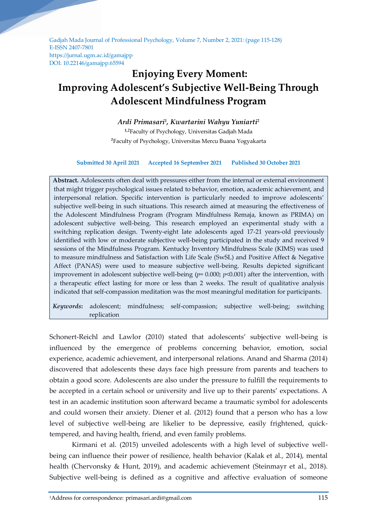Gadjah Mada Journal of Professional Psychology, Volume 7, Number 2, 2021: (page 115-128) E-ISSN 2407-7801 https://jurnal.ugm.ac.id/gamajpp DOI: 10.22146/gamajpp.65594

# **Enjoying Every Moment: Improving Adolescent's Subjective Well-Being Through Adolescent Mindfulness Program**

# *Ardi Primasari<sup>1</sup> , Kwartarini Wahyu Yuniarti<sup>2</sup>*

*1,2*Faculty of Psychology, Universitas Gadjah Mada *<sup>1</sup>*Faculty of Psychology, Universitas Mercu Buana Yogyakarta

## **Submitted 30 April 2021 Accepted 16 September 2021 Published 30 October 2021**

**Abstract.** Adolescents often deal with pressures either from the internal or external environment that might trigger psychological issues related to behavior, emotion, academic achievement, and interpersonal relation. Specific intervention is particularly needed to improve adolescents' subjective well-being in such situations. This research aimed at measuring the effectiveness of the Adolescent Mindfulness Program (Program Mindfulness Remaja, known as PRIMA) on adolescent subjective well-being. This research employed an experimental study with a switching replication design. Twenty-eight late adolescents aged 17-21 years-old previously identified with low or moderate subjective well-being participated in the study and received 9 sessions of the Mindfulness Program. Kentucky Inventory Mindfulness Scale (KIMS) was used to measure mindfulness and Satisfaction with Life Scale (SwSL) and Positive Affect & Negative Affect (PANAS) were used to measure subjective well-being. Results depicted significant improvement in adolescent subjective well-being ( $p= 0.000$ ;  $p<0.001$ ) after the intervention, with a therapeutic effect lasting for more or less than 2 weeks. The result of qualitative analysis indicated that self-compassion meditation was the most meaningful meditation for participants.

*Keywords***:** adolescent; mindfulness; self-compassion; subjective well-being; switching replication

Schonert-Reichl and Lawlor (2010) stated that adolescents' subjective well-being is influenced by the emergence of problems concerning behavior, emotion, social experience, academic achievement, and interpersonal relations. Anand and Sharma (2014) discovered that adolescents these days face high pressure from parents and teachers to obtain a good score. Adolescents are also under the pressure to fulfill the requirements to be accepted in a certain school or university and live up to their parents' expectations. A test in an academic institution soon afterward became a traumatic symbol for adolescents and could worsen their anxiety. Diener et al. (2012) found that a person who has a low level of subjective well-being are likelier to be depressive, easily frightened, quicktempered, and having health, friend, and even family problems.

Kirmani et al. (2015) unveiled adolescents with a high level of subjective wellbeing can influence their power of resilience, health behavior (Kalak et al., 2014), mental health (Chervonsky & Hunt, 2019), and academic achievement (Steinmayr et al., 2018). Subjective well-being is defined as a cognitive and affective evaluation of someone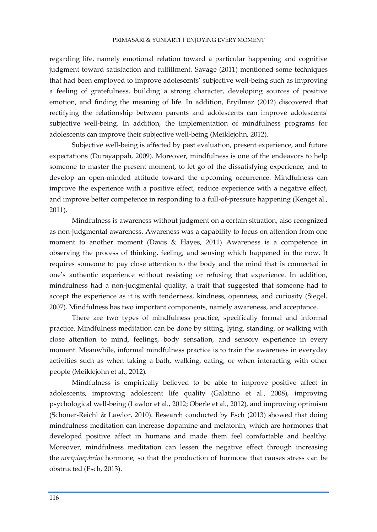regarding life, namely emotional relation toward a particular happening and cognitive judgment toward satisfaction and fulfillment. Savage (2011) mentioned some techniques that had been employed to improve adolescents' subjective well-being such as improving a feeling of gratefulness, building a strong character, developing sources of positive emotion, and finding the meaning of life. In addition, Eryilmaz (2012) discovered that rectifying the relationship between parents and adolescents can improve adolescents' subjective well-being. In addition, the implementation of mindfulness programs for adolescents can improve their subjective well-being (Meiklejohn, 2012).

Subjective well-being is affected by past evaluation, present experience, and future expectations (Durayappah, 2009). Moreover, mindfulness is one of the endeavors to help someone to master the present moment, to let go of the dissatisfying experience, and to develop an open-minded attitude toward the upcoming occurrence. Mindfulness can improve the experience with a positive effect, reduce experience with a negative effect, and improve better competence in responding to a full-of-pressure happening (Kenget al., 2011).

Mindfulness is awareness without judgment on a certain situation, also recognized as non-judgmental awareness. Awareness was a capability to focus on attention from one moment to another moment (Davis & Hayes, 2011) Awareness is a competence in observing the process of thinking, feeling, and sensing which happened in the now. It requires someone to pay close attention to the body and the mind that is connected in one's authentic experience without resisting or refusing that experience. In addition, mindfulness had a non-judgmental quality, a trait that suggested that someone had to accept the experience as it is with tenderness, kindness, openness, and curiosity (Siegel, 2007). Mindfulness has two important components, namely awareness, and acceptance.

There are two types of mindfulness practice, specifically formal and informal practice. Mindfulness meditation can be done by sitting, lying, standing, or walking with close attention to mind, feelings, body sensation, and sensory experience in every moment. Meanwhile, informal mindfulness practice is to train the awareness in everyday activities such as when taking a bath, walking, eating, or when interacting with other people (Meiklejohn et al., 2012).

Mindfulness is empirically believed to be able to improve positive affect in adolescents, improving adolescent life quality (Galatino et al., 2008), improving psychological well-being (Lawlor et al., 2012; Oberle et al., 2012), and improving optimism (Schoner-Reichl & Lawlor, 2010). Research conducted by Esch (2013) showed that doing mindfulness meditation can increase dopamine and melatonin, which are hormones that developed positive affect in humans and made them feel comfortable and healthy. Moreover, mindfulness meditation can lessen the negative effect through increasing the *norepinephrine* hormone, so that the production of hormone that causes stress can be obstructed (Esch, 2013).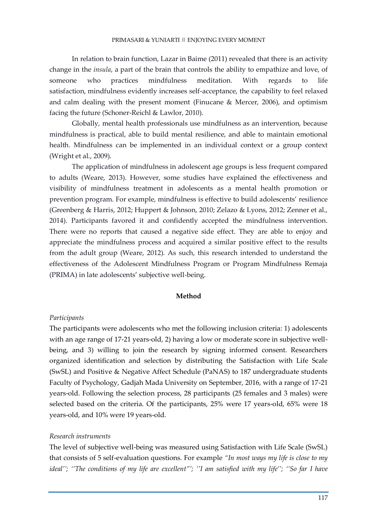In relation to brain function, Lazar in Baime (2011) revealed that there is an activity change in the *insula*, a part of the brain that controls the ability to empathize and love, of someone who practices mindfulness meditation. With regards to life satisfaction, mindfulness evidently increases self-acceptance, the capability to feel relaxed and calm dealing with the present moment (Finucane & Mercer, 2006), and optimism facing the future (Schoner-Reichl & Lawlor, 2010).

Globally, mental health professionals use mindfulness as an intervention, because mindfulness is practical, able to build mental resilience, and able to maintain emotional health. Mindfulness can be implemented in an individual context or a group context (Wright et al., 2009).

The application of mindfulness in adolescent age groups is less frequent compared to adults (Weare, 2013). However, some studies have explained the effectiveness and visibility of mindfulness treatment in adolescents as a mental health promotion or prevention program. For example, mindfulness is effective to build adolescents' resilience (Greenberg & Harris, 2012; Huppert & Johnson, 2010; Zelazo & Lyons, 2012; Zenner et al., 2014). Participants favored it and confidently accepted the mindfulness intervention. There were no reports that caused a negative side effect. They are able to enjoy and appreciate the mindfulness process and acquired a similar positive effect to the results from the adult group (Weare, 2012). As such, this research intended to understand the effectiveness of the Adolescent Mindfulness Program or Program Mindfulness Remaja (PRIMA) in late adolescents' subjective well-being.

# **Method**

#### *Participants*

The participants were adolescents who met the following inclusion criteria: 1) adolescents with an age range of 17-21 years-old, 2) having a low or moderate score in subjective wellbeing, and 3) willing to join the research by signing informed consent. Researchers organized identification and selection by distributing the Satisfaction with Life Scale (SwSL) and Positive & Negative Affect Schedule (PaNAS) to 187 undergraduate students Faculty of Psychology, Gadjah Mada University on September, 2016, with a range of 17-21 years-old. Following the selection process, 28 participants (25 females and 3 males) were selected based on the criteria. Of the participants, 25% were 17 years-old, 65% were 18 years-old, and 10% were 19 years-old.

#### *Research instruments*

The level of subjective well-being was measured using Satisfaction with Life Scale (SwSL) that consists of 5 self-evaluation questions. For example *"In most ways my life is close to my ideal''; ''The conditions of my life are excellent"'; ''I am satisfied with my life''; ''So far I have*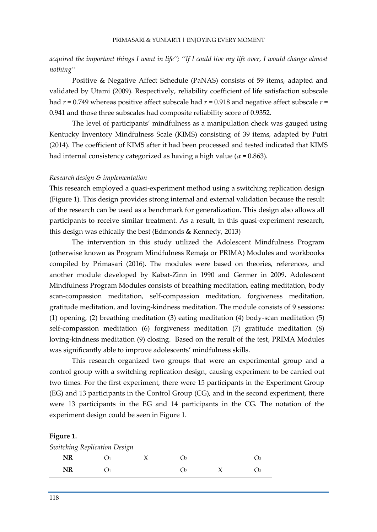*acquired the important things I want in life''; ''If I could live my life over, I would change almost nothing''* 

Positive & Negative Affect Schedule (PaNAS) consists of 59 items, adapted and validated by Utami (2009). Respectively, reliability coefficient of life satisfaction subscale had  $r = 0.749$  whereas positive affect subscale had  $r = 0.918$  and negative affect subscale  $r =$ 0.941 and those three subscales had composite reliability score of 0.9352.

The level of participants' mindfulness as a manipulation check was gauged using Kentucky Inventory Mindfulness Scale (KIMS) consisting of 39 items, adapted by Putri (2014). The coefficient of KIMS after it had been processed and tested indicated that KIMS had internal consistency categorized as having a high value ( $\alpha$  = 0.863).

# *Research design & implementation*

This research employed a quasi-experiment method using a switching replication design (Figure 1). This design provides strong internal and external validation because the result of the research can be used as a benchmark for generalization. This design also allows all participants to receive similar treatment. As a result, in this quasi-experiment research, this design was ethically the best (Edmonds & Kennedy, 2013)

The intervention in this study utilized the Adolescent Mindfulness Program (otherwise known as Program Mindfulness Remaja or PRIMA) Modules and workbooks compiled by Primasari (2016). The modules were based on theories, references, and another module developed by Kabat-Zinn in 1990 and Germer in 2009. Adolescent Mindfulness Program Modules consists of breathing meditation, eating meditation, body scan-compassion meditation, self-compassion meditation, forgiveness meditation, gratitude meditation, and loving-kindness meditation. The module consists of 9 sessions: (1) opening, (2) breathing meditation (3) eating meditation (4) body-scan meditation (5) self-compassion meditation (6) forgiveness meditation (7) gratitude meditation (8) loving-kindness meditation (9) closing. Based on the result of the test, PRIMA Modules was significantly able to improve adolescents' mindfulness skills.

This research organized two groups that were an experimental group and a control group with a switching replication design, causing experiment to be carried out two times. For the first experiment, there were 15 participants in the Experiment Group (EG) and 13 participants in the Control Group (CG), and in the second experiment, there were 13 participants in the EG and 14 participants in the CG. The notation of the experiment design could be seen in Figure 1.

#### **Figure 1.**

| Switching Replication Design |  |  |
|------------------------------|--|--|
|------------------------------|--|--|

| <b>NR</b> |  | - 10         |  |
|-----------|--|--------------|--|
| <b>NR</b> |  | $\mathbf{b}$ |  |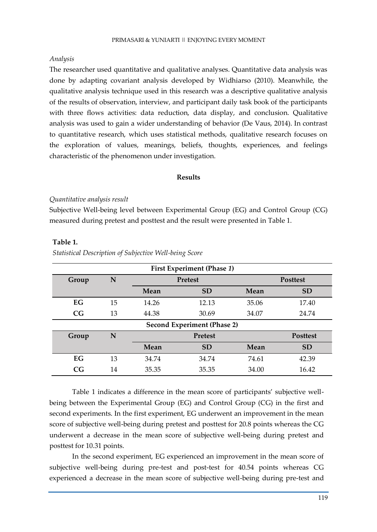# *Analysis*

The researcher used quantitative and qualitative analyses. Quantitative data analysis was done by adapting covariant analysis developed by Widhiarso (2010). Meanwhile, the qualitative analysis technique used in this research was a descriptive qualitative analysis of the results of observation, interview, and participant daily task book of the participants with three flows activities: data reduction, data display, and conclusion. Qualitative analysis was used to gain a wider understanding of behavior (De Vaus, 2014). In contrast to quantitative research, which uses statistical methods, qualitative research focuses on the exploration of values, meanings, beliefs, thoughts, experiences, and feelings characteristic of the phenomenon under investigation.

# **Results**

# *Quantitative analysis result*

Subjective Well-being level between Experimental Group (EG) and Control Group (CG) measured during pretest and posttest and the result were presented in Table 1.

| <b>First Experiment (Phase 1)</b> |    |                |                |       |                 |  |  |  |
|-----------------------------------|----|----------------|----------------|-------|-----------------|--|--|--|
| Group                             | N  |                | <b>Pretest</b> |       | <b>Posttest</b> |  |  |  |
|                                   |    | Mean           | <b>SD</b>      | Mean  | <b>SD</b>       |  |  |  |
| <b>EG</b>                         | 15 | 14.26          | 12.13          | 35.06 | 17.40           |  |  |  |
| CG                                | 13 | 44.38          | 30.69          | 34.07 | 24.74           |  |  |  |
| Second Experiment (Phase 2)       |    |                |                |       |                 |  |  |  |
| Group                             | N  | <b>Pretest</b> |                |       | <b>Posttest</b> |  |  |  |
|                                   |    | Mean           | <b>SD</b>      | Mean  | <b>SD</b>       |  |  |  |
| EG                                | 13 | 34.74          | 34.74          | 74.61 | 42.39           |  |  |  |
| CG                                | 14 | 35.35          | 35.35          | 34.00 | 16.42           |  |  |  |

# **Table 1.**

*Statistical Description of Subjective Well-being Score*

Table 1 indicates a difference in the mean score of participants' subjective wellbeing between the Experimental Group (EG) and Control Group (CG) in the first and second experiments. In the first experiment, EG underwent an improvement in the mean score of subjective well-being during pretest and posttest for 20.8 points whereas the CG underwent a decrease in the mean score of subjective well-being during pretest and posttest for 10.31 points.

In the second experiment, EG experienced an improvement in the mean score of subjective well-being during pre-test and post-test for 40.54 points whereas CG experienced a decrease in the mean score of subjective well-being during pre-test and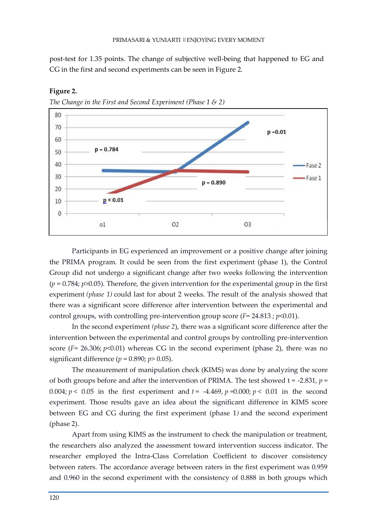post-test for 1.35 points. The change of subjective well-being that happened to EG and CG in the first and second experiments can be seen in Figure 2.



**Figure 2.** 

*The Change in the First and Second Experiment (Phase 1 & 2)*

Participants in EG experienced an improvement or a positive change after joining the PRIMA program. It could be seen from the first experiment (phase 1), the Control Group did not undergo a significant change after two weeks following the intervention (*p* = 0.784; *p*>0.05). Therefore, the given intervention for the experimental group in the first experiment *(phase 1)* could last for about 2 weeks. The result of the analysis showed that there was a significant score difference after intervention between the experimental and control groups, with controlling pre-intervention group score  $(F = 24.813; p \le 0.01)$ .

In the second experiment *(phase 2*), there was a significant score difference after the intervention between the experimental and control groups by controlling pre-intervention score  $(F = 26.306; p<0.01)$  whereas CG in the second experiment (phase 2), there was no significant difference ( $p = 0.890$ ;  $p > 0.05$ ).

The measurement of manipulation check (KIMS) was done by analyzing the score of both groups before and after the intervention of PRIMA. The test showed t = -2.831, *p* = 0.004;  $p < 0.05$  in the first experiment and  $t = -4.469$ ,  $p = 0.000$ ;  $p < 0.01$  in the second experiment. Those results gave an idea about the significant difference in KIMS score between EG and CG during the first experiment (phase 1*)* and the second experiment (phase 2).

Apart from using KIMS as the instrument to check the manipulation or treatment, the researchers also analyzed the assessment toward intervention success indicator. The researcher employed the Intra-Class Correlation Coefficient to discover consistency between raters. The accordance average between raters in the first experiment was 0.959 and 0.960 in the second experiment with the consistency of 0.888 in both groups which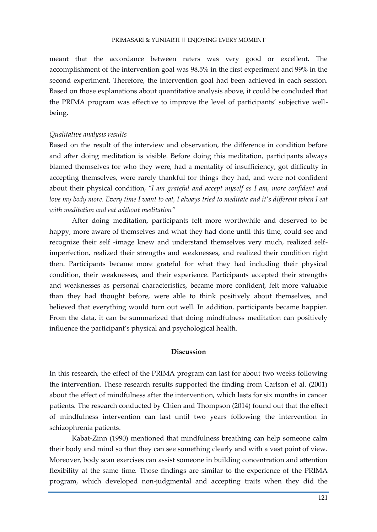meant that the accordance between raters was very good or excellent. The accomplishment of the intervention goal was 98.5% in the first experiment and 99% in the second experiment. Therefore, the intervention goal had been achieved in each session. Based on those explanations about quantitative analysis above, it could be concluded that the PRIMA program was effective to improve the level of participants' subjective wellbeing.

#### *Qualitative analysis results*

Based on the result of the interview and observation, the difference in condition before and after doing meditation is visible. Before doing this meditation, participants always blamed themselves for who they were, had a mentality of insufficiency, got difficulty in accepting themselves, were rarely thankful for things they had, and were not confident about their physical condition, *"I am grateful and accept myself as I am, more confident and love my body more. Every time I want to eat, I always tried to meditate and it's different when I eat with meditation and eat without meditation"*

After doing meditation, participants felt more worthwhile and deserved to be happy, more aware of themselves and what they had done until this time, could see and recognize their self -image knew and understand themselves very much, realized selfimperfection, realized their strengths and weaknesses, and realized their condition right then. Participants became more grateful for what they had including their physical condition, their weaknesses, and their experience. Participants accepted their strengths and weaknesses as personal characteristics, became more confident, felt more valuable than they had thought before, were able to think positively about themselves, and believed that everything would turn out well. In addition, participants became happier. From the data, it can be summarized that doing mindfulness meditation can positively influence the participant's physical and psychological health.

## **Discussion**

In this research, the effect of the PRIMA program can last for about two weeks following the intervention. These research results supported the finding from Carlson et al. (2001) about the effect of mindfulness after the intervention, which lasts for six months in cancer patients. The research conducted by Chien and Thompson (2014) found out that the effect of mindfulness intervention can last until two years following the intervention in schizophrenia patients.

Kabat-Zinn (1990) mentioned that mindfulness breathing can help someone calm their body and mind so that they can see something clearly and with a vast point of view. Moreover, body scan exercises can assist someone in building concentration and attention flexibility at the same time. Those findings are similar to the experience of the PRIMA program, which developed non-judgmental and accepting traits when they did the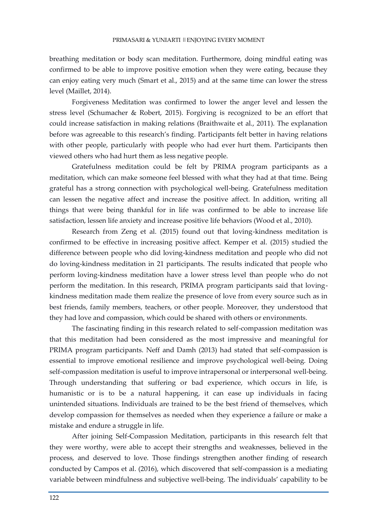breathing meditation or body scan meditation. Furthermore, doing mindful eating was confirmed to be able to improve positive emotion when they were eating, because they can enjoy eating very much (Smart et al., 2015) and at the same time can lower the stress level (Maillet, 2014).

Forgiveness Meditation was confirmed to lower the anger level and lessen the stress level (Schumacher & Robert, 2015). Forgiving is recognized to be an effort that could increase satisfaction in making relations (Braithwaite et al., 2011). The explanation before was agreeable to this research's finding. Participants felt better in having relations with other people, particularly with people who had ever hurt them. Participants then viewed others who had hurt them as less negative people.

Gratefulness meditation could be felt by PRIMA program participants as a meditation, which can make someone feel blessed with what they had at that time. Being grateful has a strong connection with psychological well-being. Gratefulness meditation can lessen the negative affect and increase the positive affect. In addition, writing all things that were being thankful for in life was confirmed to be able to increase life satisfaction, lessen life anxiety and increase positive life behaviors (Wood et al., 2010).

Research from Zeng et al. (2015) found out that loving-kindness meditation is confirmed to be effective in increasing positive affect. Kemper et al. (2015) studied the difference between people who did loving-kindness meditation and people who did not do loving-kindness meditation in 21 participants. The results indicated that people who perform loving-kindness meditation have a lower stress level than people who do not perform the meditation. In this research, PRIMA program participants said that lovingkindness meditation made them realize the presence of love from every source such as in best friends, family members, teachers, or other people. Moreover, they understood that they had love and compassion, which could be shared with others or environments.

The fascinating finding in this research related to self-compassion meditation was that this meditation had been considered as the most impressive and meaningful for PRIMA program participants. Neff and Damh (2013) had stated that self-compassion is essential to improve emotional resilience and improve psychological well-being. Doing self-compassion meditation is useful to improve intrapersonal or interpersonal well-being. Through understanding that suffering or bad experience, which occurs in life, is humanistic or is to be a natural happening, it can ease up individuals in facing unintended situations. Individuals are trained to be the best friend of themselves, which develop compassion for themselves as needed when they experience a failure or make a mistake and endure a struggle in life.

After joining Self-Compassion Meditation, participants in this research felt that they were worthy, were able to accept their strengths and weaknesses, believed in the process, and deserved to love. Those findings strengthen another finding of research conducted by Campos et al. (2016), which discovered that self-compassion is a mediating variable between mindfulness and subjective well-being. The individuals' capability to be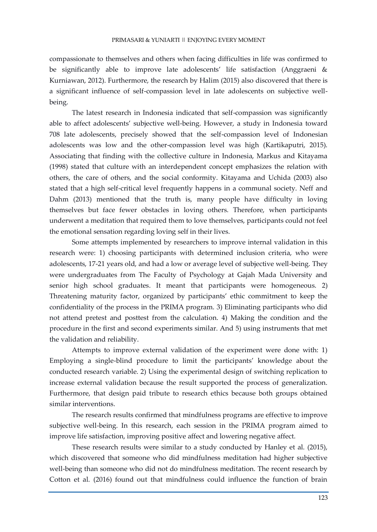compassionate to themselves and others when facing difficulties in life was confirmed to be significantly able to improve late adolescents' life satisfaction (Anggraeni & Kurniawan, 2012). Furthermore, the research by Halim (2015) also discovered that there is a significant influence of self-compassion level in late adolescents on subjective wellbeing.

The latest research in Indonesia indicated that self-compassion was significantly able to affect adolescents' subjective well-being. However, a study in Indonesia toward 708 late adolescents, precisely showed that the self-compassion level of Indonesian adolescents was low and the other-compassion level was high (Kartikaputri, 2015). Associating that finding with the collective culture in Indonesia, Markus and Kitayama (1998) stated that culture with an interdependent concept emphasizes the relation with others, the care of others, and the social conformity. Kitayama and Uchida (2003) also stated that a high self-critical level frequently happens in a communal society. Neff and Dahm (2013) mentioned that the truth is, many people have difficulty in loving themselves but face fewer obstacles in loving others. Therefore, when participants underwent a meditation that required them to love themselves, participants could not feel the emotional sensation regarding loving self in their lives.

Some attempts implemented by researchers to improve internal validation in this research were: 1) choosing participants with determined inclusion criteria, who were adolescents, 17-21 years old, and had a low or average level of subjective well-being. They were undergraduates from The Faculty of Psychology at Gajah Mada University and senior high school graduates. It meant that participants were homogeneous. 2) Threatening maturity factor, organized by participants' ethic commitment to keep the confidentiality of the process in the PRIMA program. 3) Eliminating participants who did not attend pretest and posttest from the calculation. 4) Making the condition and the procedure in the first and second experiments similar. And 5) using instruments that met the validation and reliability.

Attempts to improve external validation of the experiment were done with: 1) Employing a single-blind procedure to limit the participants' knowledge about the conducted research variable. 2) Using the experimental design of switching replication to increase external validation because the result supported the process of generalization. Furthermore, that design paid tribute to research ethics because both groups obtained similar interventions.

The research results confirmed that mindfulness programs are effective to improve subjective well-being. In this research, each session in the PRIMA program aimed to improve life satisfaction, improving positive affect and lowering negative affect.

These research results were similar to a study conducted by Hanley et al. (2015), which discovered that someone who did mindfulness meditation had higher subjective well-being than someone who did not do mindfulness meditation. The recent research by Cotton et al. (2016) found out that mindfulness could influence the function of brain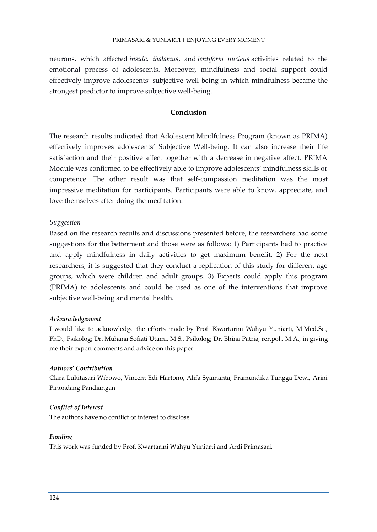## PRIMASARI & YUNIARTI ||ENJOYING EVERY MOMENT

neurons, which affected *insula, thalamus*, and *lentiform nucleus* activities related to the emotional process of adolescents. Moreover, mindfulness and social support could effectively improve adolescents' subjective well-being in which mindfulness became the strongest predictor to improve subjective well-being.

# **Conclusion**

The research results indicated that Adolescent Mindfulness Program (known as PRIMA) effectively improves adolescents' Subjective Well-being. It can also increase their life satisfaction and their positive affect together with a decrease in negative affect. PRIMA Module was confirmed to be effectively able to improve adolescents' mindfulness skills or competence. The other result was that self-compassion meditation was the most impressive meditation for participants. Participants were able to know, appreciate, and love themselves after doing the meditation.

## *Suggestion*

Based on the research results and discussions presented before, the researchers had some suggestions for the betterment and those were as follows: 1) Participants had to practice and apply mindfulness in daily activities to get maximum benefit. 2) For the next researchers, it is suggested that they conduct a replication of this study for different age groups, which were children and adult groups. 3) Experts could apply this program (PRIMA) to adolescents and could be used as one of the interventions that improve subjective well-being and mental health.

#### *Acknowledgement*

I would like to acknowledge the efforts made by Prof. Kwartarini Wahyu Yuniarti, M.Med.Sc., PhD., Psikolog; Dr. Muhana Sofiati Utami, M.S., Psikolog; Dr. Bhina Patria, rer.pol., M.A., in giving me their expert comments and advice on this paper.

#### *Authors' Contribution*

Clara Lukitasari Wibowo, Vincent Edi Hartono, Alifa Syamanta, Pramundika Tungga Dewi, Arini Pinondang Pandiangan

#### *Conflict of Interest*

The authors have no conflict of interest to disclose.

#### *Funding*

This work was funded by Prof. Kwartarini Wahyu Yuniarti and Ardi Primasari.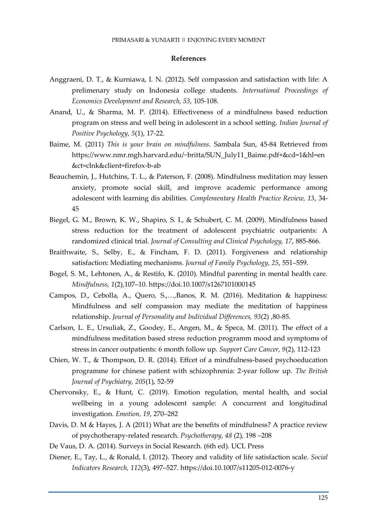## **References**

- Anggraeni, D. T., & Kurniawa, I. N. (2012). Self compassion and satisfaction with life: A prelimenary study on Indonesia college students. *International Proceedings of Economics Development and Research, 53*, 105-108.
- Anand, U., & Sharma, M. P. (2014). Effectiveness of a mindfulness based reduction program on stress and well being in adolescent in a school setting. *Indian Journal of Positive Psychology, 5*(1), 17-22.
- Baime, M. (2011) *This is your brain on mindfulness*. Sambala Sun, 45-84 Retrieved from https://www.nmr.mgh.harvard.edu/~britta/SUN\_July11\_Baime.pdf+&cd=1&hl=en &ct=clnk&client=firefox-b-ab
- Beauchemin, J., Hutchins, T. L., & Paterson, F. (2008). Mindfulness meditation may lessen anxiety, promote social skill, and improve academic performance among adolescent with learning dis abilities. *Complementary Health Practice Review, 13*, 34- 45
- Biegel, G. M., Brown, K. W., Shapiro, S. I., & Schubert, C. M. (2009). Mindfulness based stress reduction for the treatment of adolescent psychiatric outparients: A randomized clinical trial. *Journal of Consulting and Clinical Psychology, 17*, 885-866.
- Braithwaite, S., Selby, E., & Fincham, F. D. (2011). Forgiveness and relationship satisfaction: Mediating mechanisms. *Journal of Family Psychology, 25*, 551–559.
- Bogel, S. M., Lehtonen, A., & Restifo, K. (2010). Mindful parenting in mental health care. *Mindfulness, 1*(2),107–10. https://doi.10.1007/s1267101000145
- Campos, D., Cebolla, A., Quero, S.,…,Banos, R. M. (2016). Meditation & happiness: Mindfulness and self compassion may mediate the meditation of happiness relationship. *Journal of Personality and Individual Differences, 93*(2) ,80-85.
- Carlson, L. E., Ursuliak, Z., Goodey, E., Angen, M., & Speca, M. (2011). The effect of a mindfulness meditation based stress reduction programm mood and symptoms of stress in cancer outpatients: 6 month follow up. *Support Care Cancer, 9*(2), 112-123
- Chien, W. T., & Thompson, D. R. (2014). Effcet of a mindfulness-based psychoeducation programme for chinese patient with schizophrenia: 2-year follow up. *The British Journal of Psychiatry, 205*(1), 52-59
- Chervonsky, E., & Hunt, C. (2019). Emotion regulation, mental health, and social wellbeing in a young adolescent sample: A concurrent and longitudinal investigation. *Emotion, 19*, 270–282
- Davis, D. M & Hayes, J. A (2011) What are the benefits of mindfulness? A practice review of psychotherapy-related research. *Psychotherapy, 48* (2), 198 –208
- De Vaus, D. A. (2014). Surveys in Social Research. (6th ed). UCL Press
- Diener, E., Tay, L., & Ronald, I. (2012). Theory and validity of life satisfaction scale. *Social Indicators Research, 112*(3), 497–527. https://doi.10.1007/s11205-012-0076-y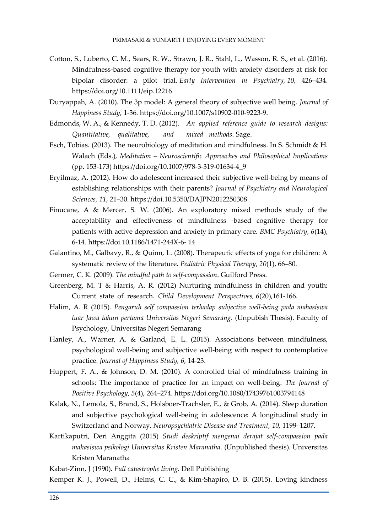- Cotton, S., Luberto, C. M., Sears, R. W., Strawn, J. R., Stahl, L., Wasson, R. S., et al. (2016). Mindfulness-based cognitive therapy for youth with anxiety disorders at risk for bipolar disorder: a pilot trial. *Early Intervention in Psychiatry, 10*, 426–434. https://doi.org/10.1111/eip.12216
- Duryappah, A. (2010). The 3p model: A general theory of subjective well being*. Journal of Happiness Study*, 1-36. https://doi.org/10.1007/s10902-010-9223-9.
- Edmonds, W. A., & Kennedy, T. D. (2012). *An applied reference guide to research designs: Quantitative, qualitative, and mixed methods*. Sage.
- Esch, Tobias. (2013). The neurobiology of meditation and mindfulness. In S. Schmidt & H. Walach (Eds.), *Meditation – Neuroscientific Approaches and Philosophical Implications* (pp. 153-173) https://doi.org/10.1007/978-3-319-01634-4\_9
- Eryilmaz, A. (2012). How do adolescent increased their subjective well-being by means of establishing relationships with their parents? *Journal of Psychiatry and Neurological Sciences, 11*, 21–30. https://doi.10.5350/DAJPN2012250308
- Finucane, A & Mercer, S. W. (2006). An exploratory mixed methods study of the acceptability and effectiveness of mindfulness -based cognitive therapy for patients with active depression and anxiety in primary care. *BMC Psychiatry, 6*(14), 6-14. https://doi.10.1186/1471-244X-6- 14
- Galantino, M., Galbavy, R., & Quinn, L. (2008). Therapeutic effects of yoga for children: A systematic review of the literature. *Pediatric Physical Therapy*, *20*(1), 66–80.
- Germer, C. K. (2009). *The mindful path to self-compassion*. Guilford Press.
- Greenberg, M. T & Harris, A. R. (2012) Nurturing mindfulness in children and youth: Current state of research. *Child Development Perspectives, 6*(20),161-166.
- Halim, A. R (2015). *Pengaruh self compassion terhadap subjective well-being pada mahasiswa luar Jawa tahun pertama Universitas Negeri Semarang*. (Unpubish Thesis). Faculty of Psychology, Universitas Negeri Semarang
- Hanley, A., Warner, A. & Garland, E. L. (2015). Associations between mindfulness, psychological well-being and subjective well-being with respect to contemplative practice. *Journal of Happiness Study, 6*, 14-23.
- Huppert, F. A., & Johnson, D. M. (2010). A controlled trial of mindfulness training in schools: The importance of practice for an impact on well-being. *The Journal of Positive Psychology, 5*(4), 264–274. https://doi.org/10.1080/17439761003794148
- Kalak, N., Lemola, S., Brand, S., Holsboer-Trachsler, E., & Grob, A. (2014). Sleep duration and subjective psychological well-being in adolescence: A longitudinal study in Switzerland and Norway. *Neuropsychiatric Disease and Treatment, 10*, 1199–1207.
- Kartikaputri, Deri Anggita (2015) *Studi deskriptif mengenai derajat self-compassion pada mahasiswa psikologi Universitas Kristen Maranatha*. (Unpublished thesis). Universitas Kristen Maranatha

Kabat-Zinn, J (1990). *Full catastrophe living*. Dell Publishing

Kemper K. J., Powell, D., Helms, C. C., & Kim-Shapiro, D. B. (2015). Loving kindness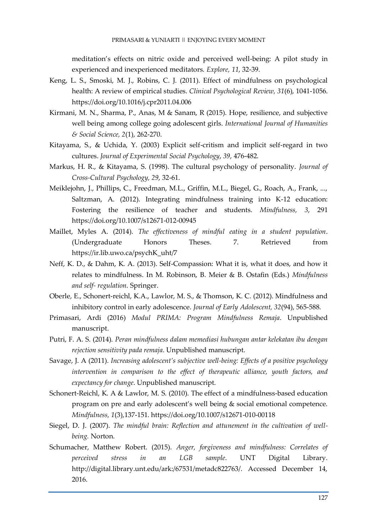## PRIMASARI & YUNIARTI || ENJOYING EVERY MOMENT

meditation's effects on nitric oxide and perceived well-being: A pilot study in experienced and inexperienced meditators. *Explore, 11*, 32-39.

- Keng, L. S., Smoski, M. J., Robins, C. J. (2011). Effect of mindfulness on psychological health: A review of empirical studies. *Clinical Psychological Review, 31*(6), 1041-1056. https://doi.org/10.1016/j.cpr2011.04.006
- Kirmani, M. N., Sharma, P., Anas, M & Sanam, R (2015). Hope, resilience, and subjective well being among college going adolescent girls. *International Journal of Humanities & Social Science, 2*(1), 262-270.
- Kitayama, S., & Uchida, Y. (2003) Explicit self-critism and implicit self-regard in two cultures. *Journal of Experimental Social Psychology*, *39*, 476-482.
- Markus, H. R., & Kitayama, S. (1998). The cultural psychology of personality. *Journal of Cross-Cultural Psychology, 29*, 32-61.
- Meiklejohn, J., Phillips, C., Freedman, M.L., Griffin, M.L., Biegel, G., Roach, A., Frank, ..., Saltzman, A. (2012). Integrating mindfulness training into K-12 education: Fostering the resilience of teacher and students. *Mindfulness, 3*, 291 https://doi.org/10.1007/s12671-012-00945
- Maillet, Myles A. (2014). *The effectiveness of mindful eating in a student population*. (Undergraduate Honors Theses. 7. Retrieved from https://ir.lib.uwo.ca/psychK\_uht/7
- Neff, K. D., & Dahm, K. A. (2013). Self-Compassion: What it is, what it does, and how it relates to mindfulness. In M. Robinson, B. Meier & B. Ostafin (Eds.) *Mindfulness and self- regulation*. Springer.
- Oberle, E., Schonert-reichl, K.A., Lawlor, M. S., & Thomson, K. C. (2012). Mindfulness and inhibitory control in early adolescence. *Journal of Early Adolescent, 32*(94), 565-588.
- Primasari, Ardi (2016) *Modul PRIMA: Program Mindfulness Remaja*. Unpublished manuscript.
- Putri, F. A. S. (2014). *Peran mindfulness dalam memediasi hubungan antar kelekatan ibu dengan rejection sensitivity pada remaja*. Unpublished manuscript.
- Savage, J. A (2011). *Increasing adolescent's subjective well-being: Effects of a positive psychology intervention in comparison to the effect of therapeutic alliance, youth factors, and expectancy for change*. Unpublished manuscript.
- Schonert-Reichl, K. A & Lawlor, M. S. (2010). The effect of a mindfulness-based education program on pre and early adolescent's well being & social emotional competence. *Mindfulness, 1*(3),137-151. https://doi.org/10.1007/s12671-010-00118
- Siegel, D. J. (2007). *The mindful brain: Reflection and attunement in the cultivation of wellbeing.* Norton.
- Schumacher, Matthew Robert. (2015). *Anger, forgiveness and mindfulness: Correlates of perceived stress in an LGB sample*. UNT Digital Library. http://digital.library.unt.edu/ark:/67531/metadc822763/. Accessed December 14, 2016.